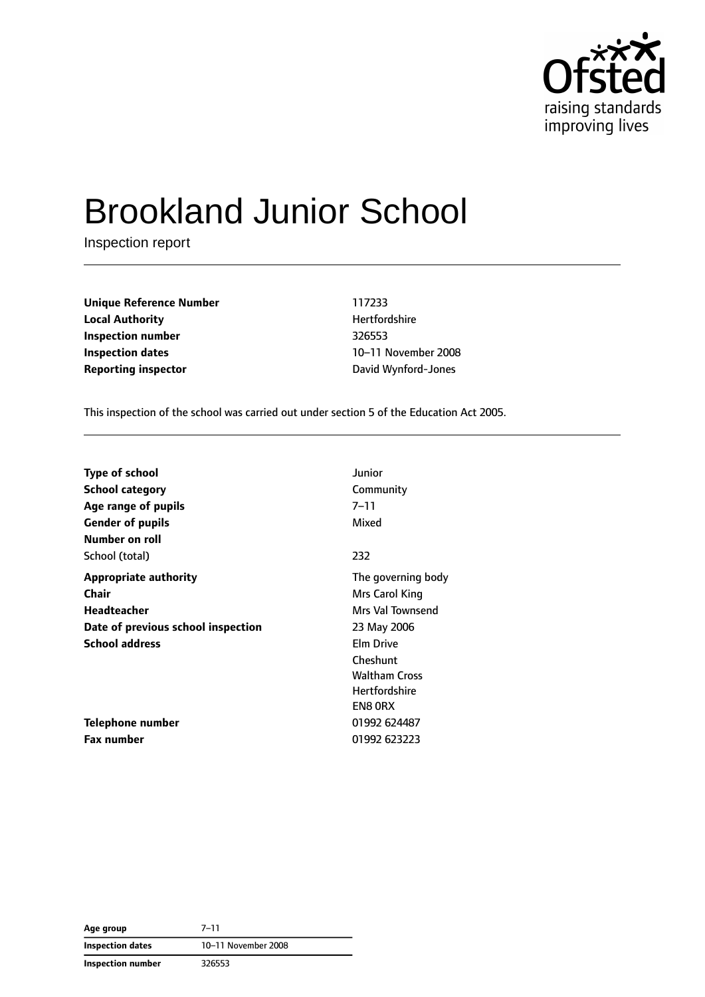

# Brookland Junior School

Inspection report

**Unique Reference Number** 117233 **Local Authority Material Authority Hertfordshire Inspection number** 326553 **Inspection dates** 10–11 November 2008 **Reporting inspector CONFIDENTIFY REPORTING DAVID DAVID DAVID DAVID DAVID DAVID DAVID DAVID DAVID DAVID DAVID DAVID DAVID DAVID DAVID DAVID DAVID DAVID DAVID DAVID DAVID DAVID DAVID DAVID DAVID DAVID DAVID DAVID DAVID DA** 

This inspection of the school was carried out under section 5 of the Education Act 2005.

| <b>Type of school</b>              | Junior               |
|------------------------------------|----------------------|
| <b>School category</b>             | Community            |
| Age range of pupils                | $7 - 11$             |
| <b>Gender of pupils</b>            | Mixed                |
| Number on roll                     |                      |
| School (total)                     | 232                  |
| <b>Appropriate authority</b>       | The governing body   |
| Chair                              | Mrs Carol King       |
| <b>Headteacher</b>                 | Mrs Val Townsend     |
| Date of previous school inspection | 23 May 2006          |
| <b>School address</b>              | Elm Drive            |
|                                    | Cheshunt             |
|                                    | <b>Waltham Cross</b> |
|                                    | <b>Hertfordshire</b> |
|                                    | <b>EN8 ORX</b>       |
| Telephone number                   | 01992 624487         |
| <b>Fax number</b>                  | 01992 623223         |

**Age group** 7–11 **Inspection dates** 10–11 November 2008 **Inspection number** 326553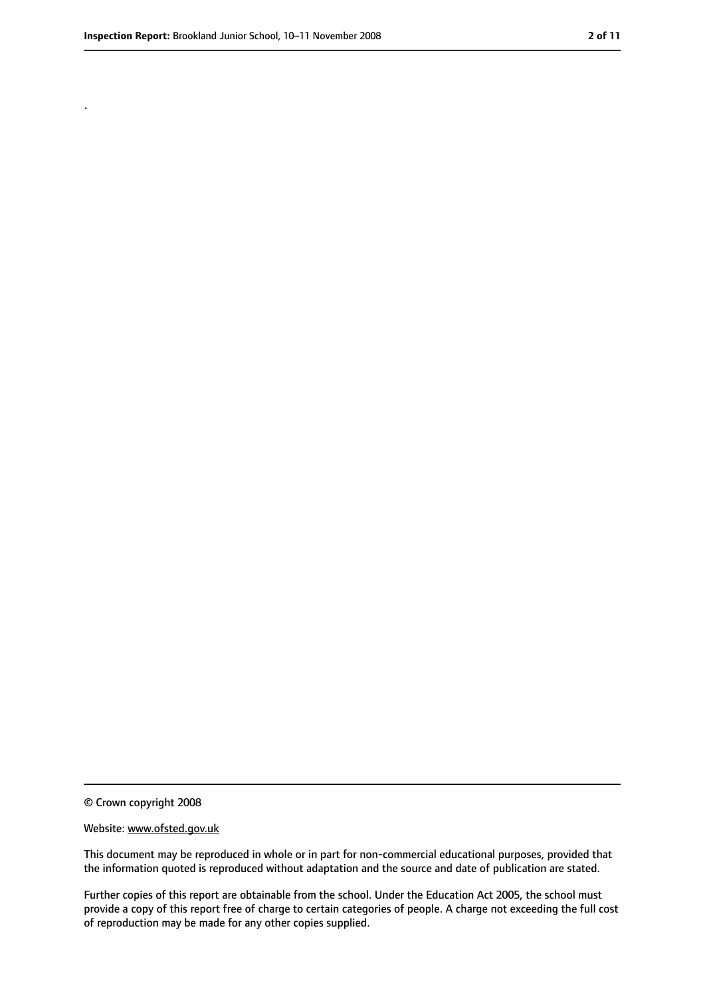.

<sup>©</sup> Crown copyright 2008

Website: www.ofsted.gov.uk

This document may be reproduced in whole or in part for non-commercial educational purposes, provided that the information quoted is reproduced without adaptation and the source and date of publication are stated.

Further copies of this report are obtainable from the school. Under the Education Act 2005, the school must provide a copy of this report free of charge to certain categories of people. A charge not exceeding the full cost of reproduction may be made for any other copies supplied.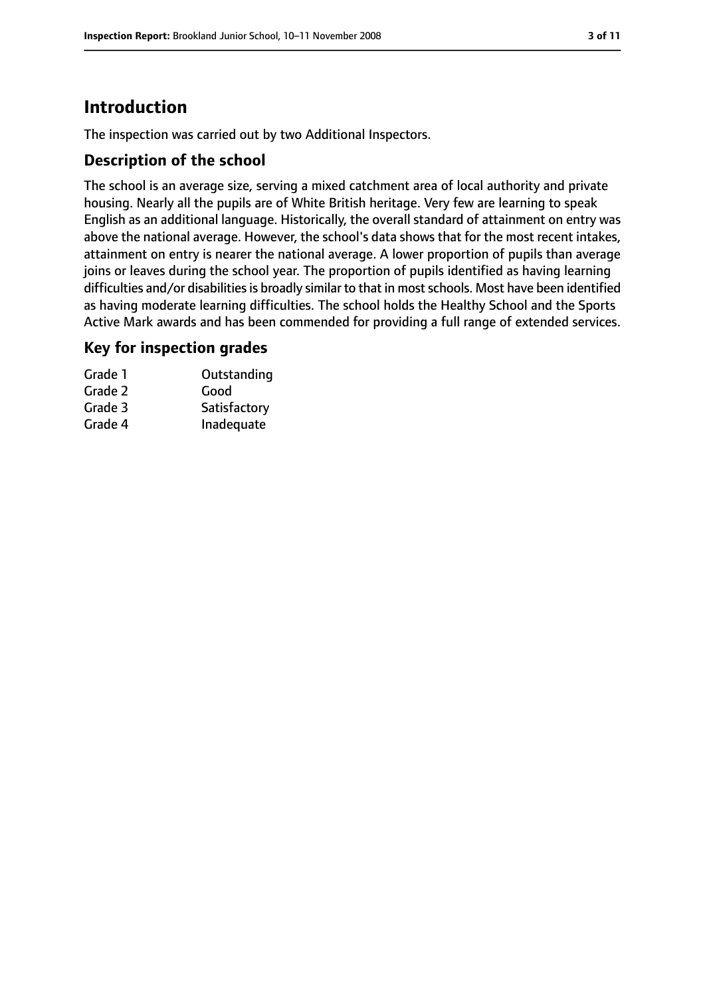## **Introduction**

The inspection was carried out by two Additional Inspectors.

#### **Description of the school**

The school is an average size, serving a mixed catchment area of local authority and private housing. Nearly all the pupils are of White British heritage. Very few are learning to speak English as an additional language. Historically, the overall standard of attainment on entry was above the national average. However, the school's data shows that for the most recent intakes, attainment on entry is nearer the national average. A lower proportion of pupils than average joins or leaves during the school year. The proportion of pupils identified as having learning difficulties and/or disabilities is broadly similar to that in most schools. Most have been identified as having moderate learning difficulties. The school holds the Healthy School and the Sports Active Mark awards and has been commended for providing a full range of extended services.

#### **Key for inspection grades**

| Grade 1 | Outstanding  |
|---------|--------------|
| Grade 2 | Good         |
| Grade 3 | Satisfactory |
| Grade 4 | Inadequate   |
|         |              |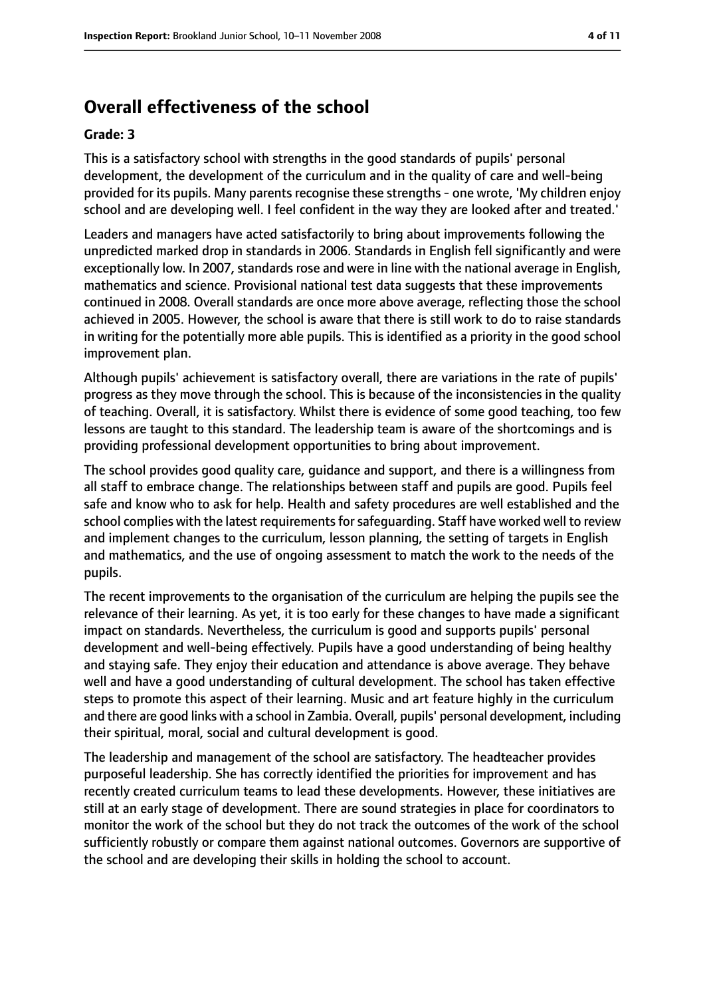## **Overall effectiveness of the school**

#### **Grade: 3**

This is a satisfactory school with strengths in the good standards of pupils' personal development, the development of the curriculum and in the quality of care and well-being provided for its pupils. Many parents recognise these strengths - one wrote, 'My children enjoy school and are developing well. I feel confident in the way they are looked after and treated.'

Leaders and managers have acted satisfactorily to bring about improvements following the unpredicted marked drop in standards in 2006. Standards in English fell significantly and were exceptionally low. In 2007, standards rose and were in line with the national average in English, mathematics and science. Provisional national test data suggests that these improvements continued in 2008. Overall standards are once more above average, reflecting those the school achieved in 2005. However, the school is aware that there is still work to do to raise standards in writing for the potentially more able pupils. This is identified as a priority in the good school improvement plan.

Although pupils' achievement is satisfactory overall, there are variations in the rate of pupils' progress as they move through the school. This is because of the inconsistencies in the quality of teaching. Overall, it is satisfactory. Whilst there is evidence of some good teaching, too few lessons are taught to this standard. The leadership team is aware of the shortcomings and is providing professional development opportunities to bring about improvement.

The school provides good quality care, guidance and support, and there is a willingness from all staff to embrace change. The relationships between staff and pupils are good. Pupils feel safe and know who to ask for help. Health and safety procedures are well established and the school complies with the latest requirements for safequarding. Staff have worked well to review and implement changes to the curriculum, lesson planning, the setting of targets in English and mathematics, and the use of ongoing assessment to match the work to the needs of the pupils.

The recent improvements to the organisation of the curriculum are helping the pupils see the relevance of their learning. As yet, it is too early for these changes to have made a significant impact on standards. Nevertheless, the curriculum is good and supports pupils' personal development and well-being effectively. Pupils have a good understanding of being healthy and staying safe. They enjoy their education and attendance is above average. They behave well and have a good understanding of cultural development. The school has taken effective steps to promote this aspect of their learning. Music and art feature highly in the curriculum and there are good links with a school in Zambia. Overall, pupils' personal development, including their spiritual, moral, social and cultural development is good.

The leadership and management of the school are satisfactory. The headteacher provides purposeful leadership. She has correctly identified the priorities for improvement and has recently created curriculum teams to lead these developments. However, these initiatives are still at an early stage of development. There are sound strategies in place for coordinators to monitor the work of the school but they do not track the outcomes of the work of the school sufficiently robustly or compare them against national outcomes. Governors are supportive of the school and are developing their skills in holding the school to account.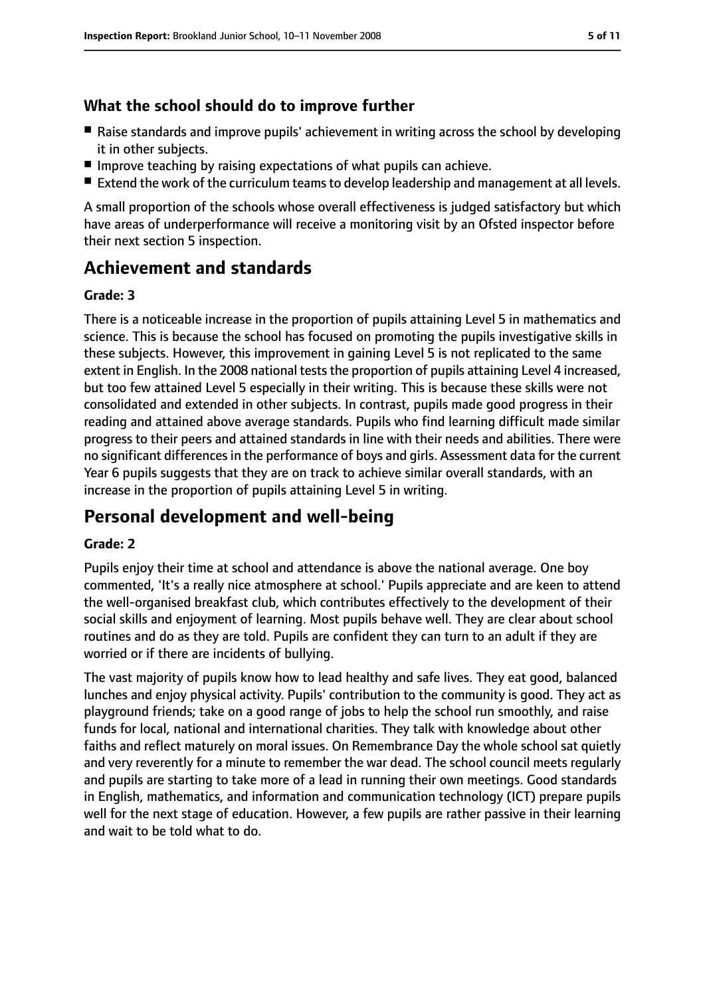#### **What the school should do to improve further**

- Raise standards and improve pupils' achievement in writing across the school by developing it in other subjects.
- Improve teaching by raising expectations of what pupils can achieve.
- Extend the work of the curriculum teams to develop leadership and management at all levels.

A small proportion of the schools whose overall effectiveness is judged satisfactory but which have areas of underperformance will receive a monitoring visit by an Ofsted inspector before their next section 5 inspection.

## **Achievement and standards**

#### **Grade: 3**

There is a noticeable increase in the proportion of pupils attaining Level 5 in mathematics and science. This is because the school has focused on promoting the pupils investigative skills in these subjects. However, this improvement in gaining Level 5 is not replicated to the same extent in English. In the 2008 national tests the proportion of pupils attaining Level 4 increased, but too few attained Level 5 especially in their writing. This is because these skills were not consolidated and extended in other subjects. In contrast, pupils made good progress in their reading and attained above average standards. Pupils who find learning difficult made similar progress to their peers and attained standards in line with their needs and abilities. There were no significant differences in the performance of boys and girls. Assessment data for the current Year 6 pupils suggests that they are on track to achieve similar overall standards, with an increase in the proportion of pupils attaining Level 5 in writing.

## **Personal development and well-being**

#### **Grade: 2**

Pupils enjoy their time at school and attendance is above the national average. One boy commented, 'It's a really nice atmosphere at school.' Pupils appreciate and are keen to attend the well-organised breakfast club, which contributes effectively to the development of their social skills and enjoyment of learning. Most pupils behave well. They are clear about school routines and do as they are told. Pupils are confident they can turn to an adult if they are worried or if there are incidents of bullying.

The vast majority of pupils know how to lead healthy and safe lives. They eat good, balanced lunches and enjoy physical activity. Pupils' contribution to the community is good. They act as playground friends; take on a good range of jobs to help the school run smoothly, and raise funds for local, national and international charities. They talk with knowledge about other faiths and reflect maturely on moral issues. On Remembrance Day the whole school sat quietly and very reverently for a minute to remember the war dead. The school council meets regularly and pupils are starting to take more of a lead in running their own meetings. Good standards in English, mathematics, and information and communication technology (ICT) prepare pupils well for the next stage of education. However, a few pupils are rather passive in their learning and wait to be told what to do.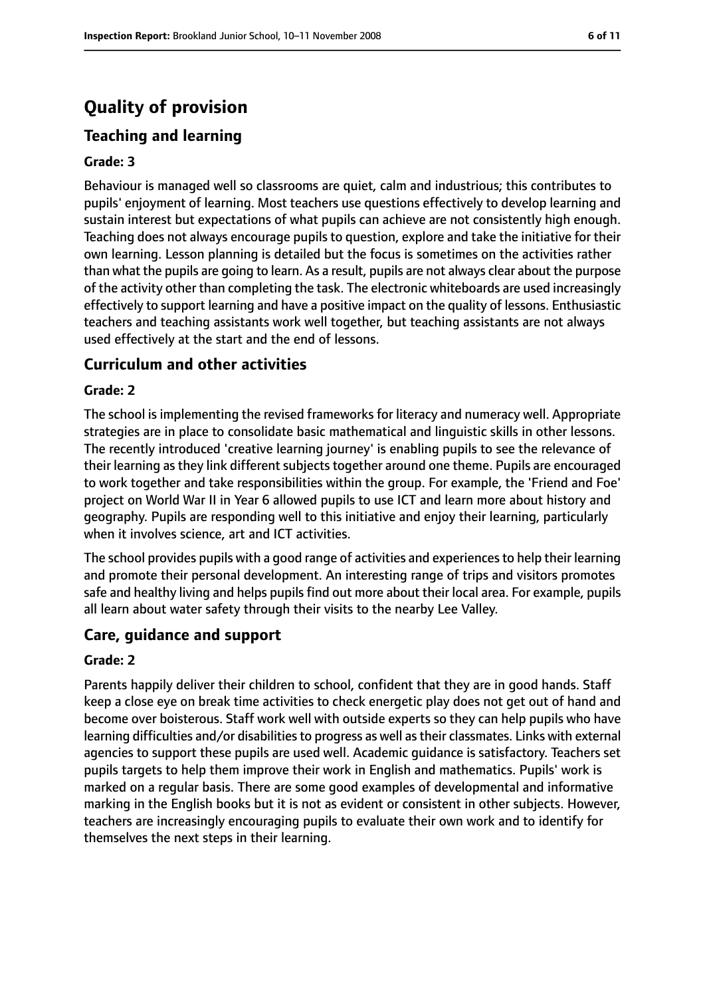## **Quality of provision**

#### **Teaching and learning**

#### **Grade: 3**

Behaviour is managed well so classrooms are quiet, calm and industrious; this contributes to pupils' enjoyment of learning. Most teachers use questions effectively to develop learning and sustain interest but expectations of what pupils can achieve are not consistently high enough. Teaching does not always encourage pupils to question, explore and take the initiative for their own learning. Lesson planning is detailed but the focus is sometimes on the activities rather than what the pupils are going to learn. As a result, pupils are not always clear about the purpose of the activity other than completing the task. The electronic whiteboards are used increasingly effectively to support learning and have a positive impact on the quality of lessons. Enthusiastic teachers and teaching assistants work well together, but teaching assistants are not always used effectively at the start and the end of lessons.

#### **Curriculum and other activities**

#### **Grade: 2**

The school is implementing the revised frameworks for literacy and numeracy well. Appropriate strategies are in place to consolidate basic mathematical and linguistic skills in other lessons. The recently introduced 'creative learning journey' is enabling pupils to see the relevance of their learning as they link different subjects together around one theme. Pupils are encouraged to work together and take responsibilities within the group. For example, the 'Friend and Foe' project on World War II in Year 6 allowed pupils to use ICT and learn more about history and geography. Pupils are responding well to this initiative and enjoy their learning, particularly when it involves science, art and ICT activities.

The school provides pupils with a good range of activities and experiencesto help their learning and promote their personal development. An interesting range of trips and visitors promotes safe and healthy living and helps pupils find out more about their local area. For example, pupils all learn about water safety through their visits to the nearby Lee Valley.

#### **Care, guidance and support**

#### **Grade: 2**

Parents happily deliver their children to school, confident that they are in good hands. Staff keep a close eye on break time activities to check energetic play does not get out of hand and become over boisterous. Staff work well with outside experts so they can help pupils who have learning difficulties and/or disabilities to progress as well as their classmates. Links with external agencies to support these pupils are used well. Academic guidance is satisfactory. Teachers set pupils targets to help them improve their work in English and mathematics. Pupils' work is marked on a regular basis. There are some good examples of developmental and informative marking in the English books but it is not as evident or consistent in other subjects. However, teachers are increasingly encouraging pupils to evaluate their own work and to identify for themselves the next steps in their learning.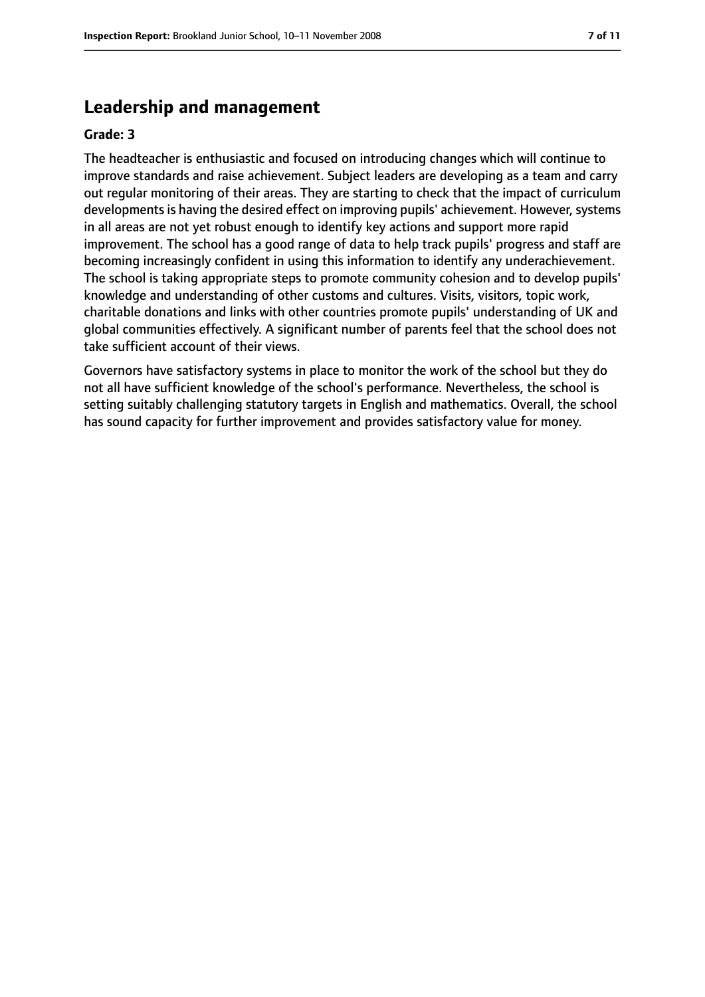#### **Leadership and management**

#### **Grade: 3**

The headteacher is enthusiastic and focused on introducing changes which will continue to improve standards and raise achievement. Subject leaders are developing as a team and carry out regular monitoring of their areas. They are starting to check that the impact of curriculum developments is having the desired effect on improving pupils' achievement. However, systems in all areas are not yet robust enough to identify key actions and support more rapid improvement. The school has a good range of data to help track pupils' progress and staff are becoming increasingly confident in using this information to identify any underachievement. The school is taking appropriate steps to promote community cohesion and to develop pupils' knowledge and understanding of other customs and cultures. Visits, visitors, topic work, charitable donations and links with other countries promote pupils' understanding of UK and global communities effectively. A significant number of parents feel that the school does not take sufficient account of their views.

Governors have satisfactory systems in place to monitor the work of the school but they do not all have sufficient knowledge of the school's performance. Nevertheless, the school is setting suitably challenging statutory targets in English and mathematics. Overall, the school has sound capacity for further improvement and provides satisfactory value for money.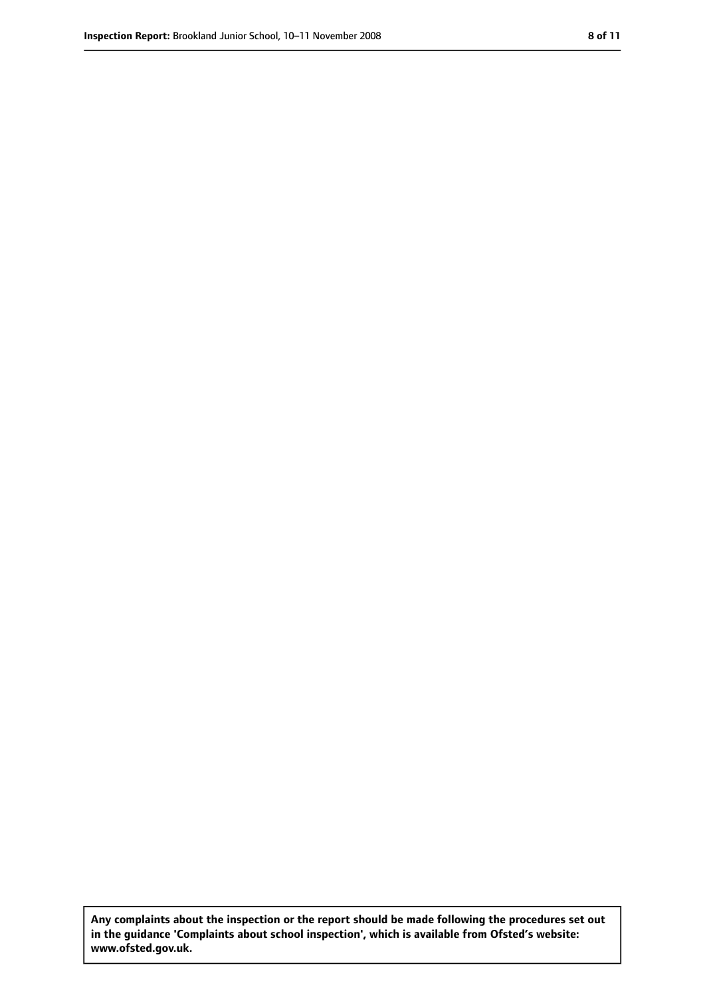**Any complaints about the inspection or the report should be made following the procedures set out in the guidance 'Complaints about school inspection', which is available from Ofsted's website: www.ofsted.gov.uk.**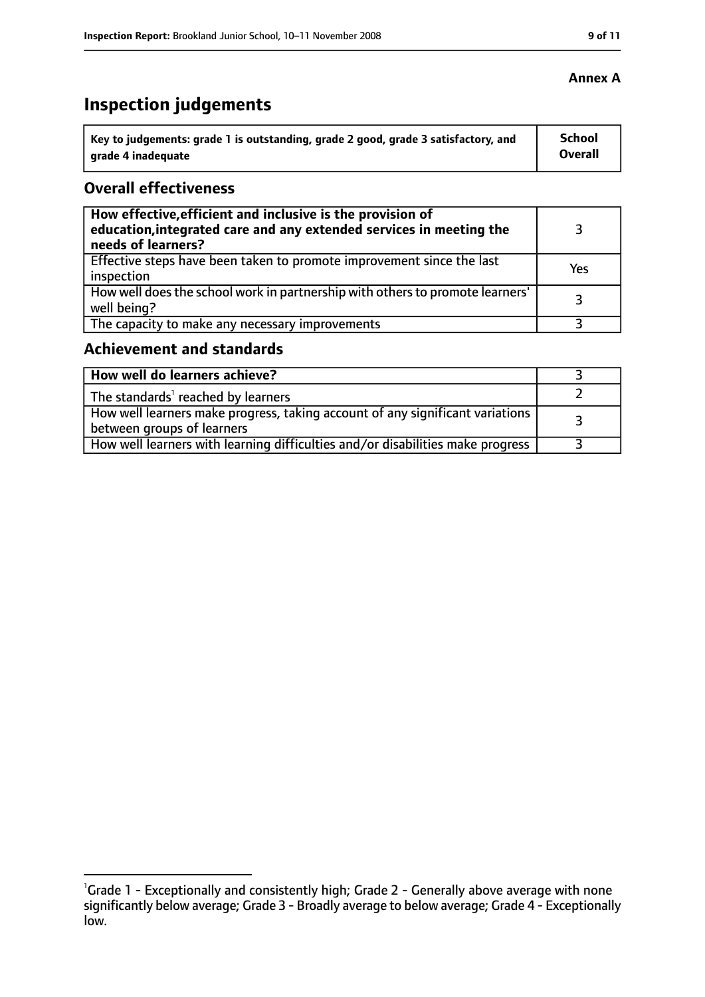## **Inspection judgements**

| Key to judgements: grade 1 is outstanding, grade 2 good, grade 3 satisfactory, and | <b>School</b>  |
|------------------------------------------------------------------------------------|----------------|
| arade 4 inadequate                                                                 | <b>Overall</b> |

#### **Overall effectiveness**

| How effective, efficient and inclusive is the provision of<br>education, integrated care and any extended services in meeting the<br>needs of learners? |     |
|---------------------------------------------------------------------------------------------------------------------------------------------------------|-----|
| Effective steps have been taken to promote improvement since the last<br>inspection                                                                     | Yes |
| How well does the school work in partnership with others to promote learners'<br>well being?                                                            |     |
| The capacity to make any necessary improvements                                                                                                         |     |

### **Achievement and standards**

| How well do learners achieve?                                                                                 |  |
|---------------------------------------------------------------------------------------------------------------|--|
| The standards' reached by learners                                                                            |  |
| How well learners make progress, taking account of any significant variations  <br>between groups of learners |  |
| How well learners with learning difficulties and/or disabilities make progress                                |  |

<sup>&</sup>lt;sup>1</sup>Grade 1 - Exceptionally and consistently high; Grade 2 - Generally above average with none significantly below average; Grade 3 - Broadly average to below average; Grade 4 - Exceptionally low.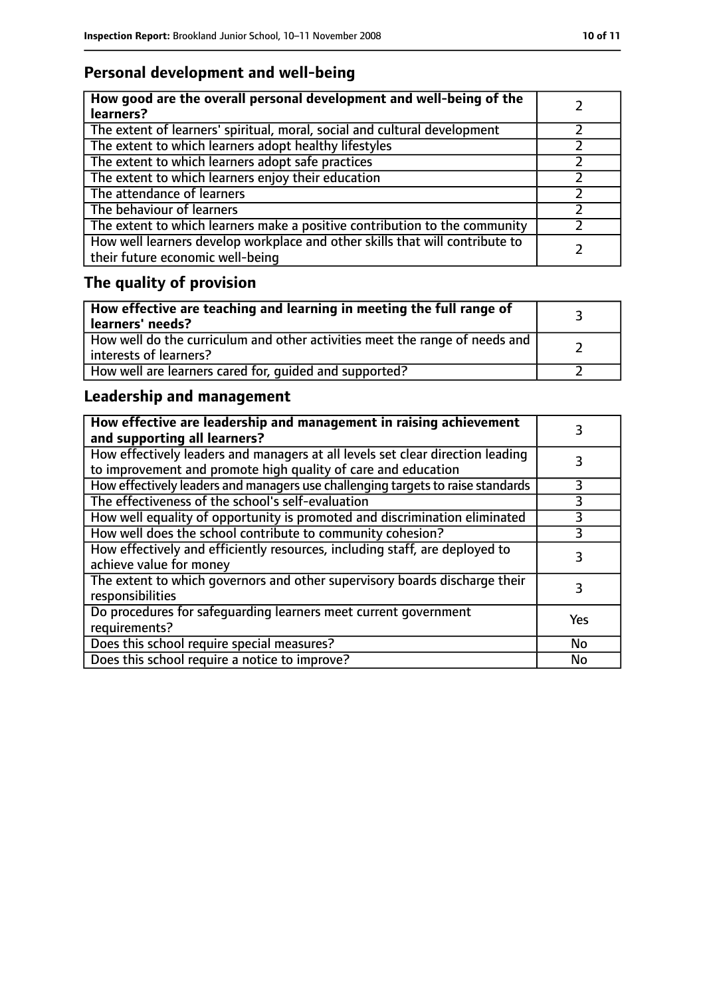#### **Personal development and well-being**

| How good are the overall personal development and well-being of the<br>learners?                                 |  |
|------------------------------------------------------------------------------------------------------------------|--|
| The extent of learners' spiritual, moral, social and cultural development                                        |  |
| The extent to which learners adopt healthy lifestyles                                                            |  |
| The extent to which learners adopt safe practices                                                                |  |
| The extent to which learners enjoy their education                                                               |  |
| The attendance of learners                                                                                       |  |
| The behaviour of learners                                                                                        |  |
| The extent to which learners make a positive contribution to the community                                       |  |
| How well learners develop workplace and other skills that will contribute to<br>their future economic well-being |  |

## **The quality of provision**

| How effective are teaching and learning in meeting the full range of<br>learners' needs?                |  |
|---------------------------------------------------------------------------------------------------------|--|
| How well do the curriculum and other activities meet the range of needs and<br>  interests of learners? |  |
| How well are learners cared for, quided and supported?                                                  |  |

#### **Leadership and management**

| How effective are leadership and management in raising achievement<br>and supporting all learners?                                              |           |
|-------------------------------------------------------------------------------------------------------------------------------------------------|-----------|
| How effectively leaders and managers at all levels set clear direction leading<br>to improvement and promote high quality of care and education |           |
| How effectively leaders and managers use challenging targets to raise standards                                                                 | 3         |
| The effectiveness of the school's self-evaluation                                                                                               | 3         |
| How well equality of opportunity is promoted and discrimination eliminated                                                                      |           |
| How well does the school contribute to community cohesion?                                                                                      | 3         |
| How effectively and efficiently resources, including staff, are deployed to<br>achieve value for money                                          | 3         |
| The extent to which governors and other supervisory boards discharge their<br>responsibilities                                                  | 3         |
| Do procedures for safequarding learners meet current government<br>requirements?                                                                | Yes       |
| Does this school require special measures?                                                                                                      | No        |
| Does this school require a notice to improve?                                                                                                   | <b>No</b> |